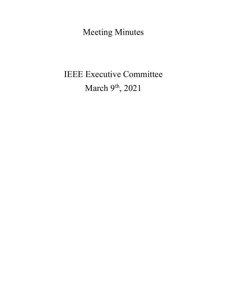Meeting Minutes

# IEEE Executive Committee March 9<sup>th</sup>, 2021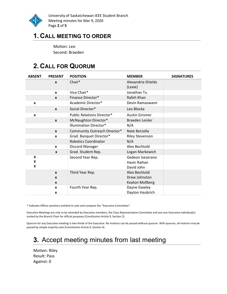

University of Saskatchewan IEEE Student Branch Meeting minutes for Mar 9, 2020 Page 2 of 5

# 1. CALL MEETING TO ORDER

Motion: Leo Second: Braeden

# 2. CALL FOR QUORUM

| <b>ABSENT</b> | <b>PRESENT</b>                               | <b>POSITION</b>                   | <b>MEMBER</b>                                            | <b>SIGNATURES</b> |
|---------------|----------------------------------------------|-----------------------------------|----------------------------------------------------------|-------------------|
|               | $\mathbf{x}$                                 | Chair*                            | Alexandria Shields<br>(Lexie)                            |                   |
|               | X                                            | Vice Chair*                       | Jonathan Tu                                              |                   |
|               | $\mathbf{x}$                                 | Finance Director*                 | Rafeh Khan                                               |                   |
| X             |                                              | Academic Director*                | Devin Ramaswami                                          |                   |
|               | $\boldsymbol{x}$                             | Social Director*                  | Leo Blocka                                               |                   |
| X             |                                              | <b>Public Relations Director*</b> | <b>Austin Grismer</b>                                    |                   |
|               | $\boldsymbol{x}$                             | McNaughton Director*              | Braeden Leisler                                          |                   |
|               |                                              | <b>Illumination Director*</b>     | N/A                                                      |                   |
|               | $\boldsymbol{x}$                             | Community Outreach Director*      | Nate Berzolla                                            |                   |
|               | X                                            | Grad. Banquet Director*           | <b>Riley Stevenson</b>                                   |                   |
|               |                                              | <b>Robotics Coordinator</b>       | N/A                                                      |                   |
|               | $\mathbf{x}$                                 | Discord Manager                   | Alex Bechtold                                            |                   |
|               | $\mathbf{x}$                                 | Grad. Student Rep.                | Logan Markewich                                          |                   |
| X<br>X<br>X   |                                              | Second Year Rep.                  | Gedeon Isezerano<br>Hasin Raihan<br>David John           |                   |
|               | $\mathbf{x}$<br>$\mathbf{x}$<br>$\mathbf{x}$ | Third Year Rep.                   | Alex Bechtold<br>Drew Johnston<br><b>Keaton Mollberg</b> |                   |
|               | $\boldsymbol{x}$<br>X                        | Fourth Year Rep.                  | Dayne Gawley<br>Dayton Haubrich                          |                   |

\* Indicates Officer positions entitled to vote and compose the "Executive Committee".

Executive Meetings are only to be attended by Executive members, the Class Representative Committee and any non-Executive individual(s) invited by the Branch Chair for official purposes (Constitution Article 9, Section 2).

Quorum for any Executive meeting is two-thirds of the Executive. No motions can be passed without quorum. With quorum, all motions may be passed by simple majority vote (Constitution Article 9, Section 4).

# 3. Accept meeting minutes from last meeting

Motion: Riley Result: Pass Against: 0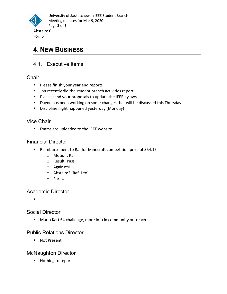

# 4. NEW BUSINESS

## 4.1. Executive Items

**Chair** 

- **Please finish your year end reports**
- **Jon recently did the student branch activities report**
- **Please send your proposals to update the IEEE bylaws**
- **Dayne has been working on some changes that will be discussed this Thursday**
- **Discipline night happened yesterday (Monday)**

## Vice Chair

■ Exams are uploaded to the IEEE website

## Financial Director

- Reimbursement to Raf for Minecraft competition prize of \$54.15
	- o Motion: Raf
	- o Result: Pass
	- o Against:0
	- o Abstain:2 (Raf, Leo)
	- o For: 4

## Academic Director

 $\blacksquare$ 

## Social Director

**Mario Kart 64 challenge, more info in community outreach** 

## Public Relations Director

■ Not Present

## McNaughton Director

■ Nothing to report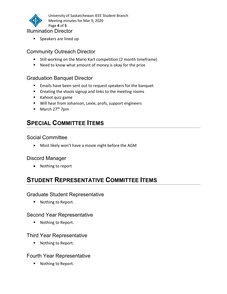

University of Saskatchewan IEEE Student Branch Meeting minutes for Mar 9, 2020 Page 4 of 5

- Illumination Director
	- **Speakers are lined up**

## Community Outreach Director

- **Still working on the Mario Kart competition (2 month timeframe)**
- Need to know what amount of money is okay for the prize

## Graduation Banquet Director

- **Emails have been sent out to request speakers for the banquet**
- **EXP** Creating the vtools signup and links to the meeting rooms
- Kahoot quiz game
- Will hear from Johanson, Lexie, profs, support engineers
- $\blacksquare$  March 27<sup>th</sup> 7pm

# SPECIAL COMMITTEE ITEMS

## Social Committee

Most likely won't have a movie night before the AGM

## Discord Manager

• Nothing to report

# STUDENT REPRESENTATIVE COMMITTEE ITEMS

## Graduate Student Representative

■ Nothing to Report.

## Second Year Representative

**Nothing to Report.** 

## Third Year Representative

■ Nothing to Report.

## Fourth Year Representative

■ Nothing to Report.